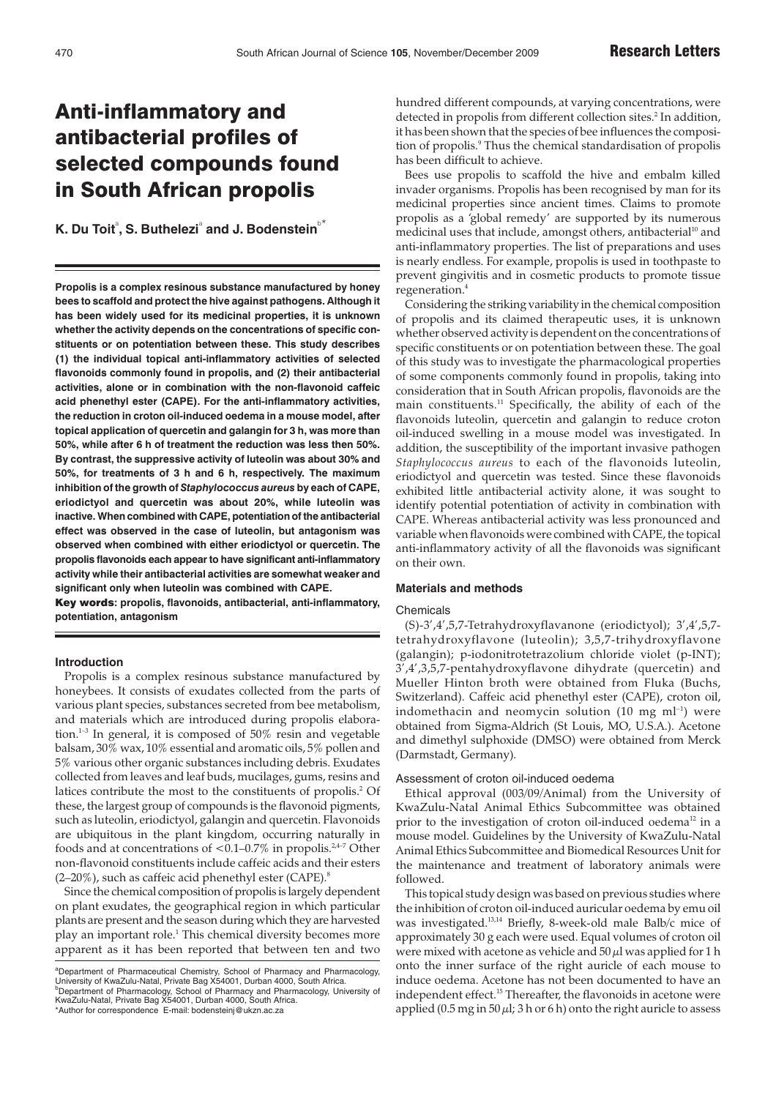# Anti-inflammatory and antibacterial profiles of selected compounds found in South African propolis

 $\textbf{K}.$  Du Toit<sup>a</sup>, S. Buthelezi<sup>a</sup> and J. Bodenstein<sup>b\*</sup>

**Propolis is a complex resinous substance manufactured by honey bees to scaffold and protect the hive against pathogens. Although it has been widely used for its medicinal properties, it is unknown whether the activity depends on the concentrations of specific constituents or on potentiation between these. This study describes (1) the individual topical anti-inflammatory activities of selected flavonoids commonly found in propolis, and (2) their antibacterial activities, alone or in combination with the non-flavonoid caffeic acid phenethyl ester (CAPE). For the anti-inflammatory activities, the reduction in croton oil-induced oedema in a mouse model, after topical application of quercetin and galangin for 3 h, was more than 50%, while after 6 h of treatment the reduction was less then 50%. By contrast, the suppressive activity of luteolin was about 30% and 50%, for treatments of 3 h and 6 h, respectively. The maximum inhibition of the growth of** *Staphylococcus aureus* **by each of CAPE, eriodictyol and quercetin was about 20%, while luteolin was inactive. When combined with CAPE, potentiation of the antibacterial effect was observed in the case of luteolin, but antagonism was observed when combined with either eriodictyol or quercetin. The propolis flavonoids each appear to have significant anti-inflammatory activity while their antibacterial activities are somewhat weaker and significant only when luteolin was combined with CAPE.**

Key words**: propolis, flavonoids, antibacterial, anti-inflammatory, potentiation, antagonism**

## **Introduction**

Propolis is a complex resinous substance manufactured by honeybees. It consists of exudates collected from the parts of various plant species, substances secreted from bee metabolism, and materials which are introduced during propolis elaboration.<sup>1-3</sup> In general, it is composed of  $50\%$  resin and vegetable balsam, 30% wax, 10% essential and aromatic oils, 5% pollen and 5% various other organic substances including debris. Exudates collected from leaves and leaf buds, mucilages, gums, resins and latices contribute the most to the constituents of propolis.<sup>2</sup> Of these, the largest group of compounds is the flavonoid pigments, such as luteolin, eriodictyol, galangin and quercetin. Flavonoids are ubiquitous in the plant kingdom, occurring naturally in foods and at concentrations of  $< 0.1 - 0.7\%$  in propolis.<sup>2,4-7</sup> Other non-flavonoid constituents include caffeic acids and their esters  $(2-20\%)$ , such as caffeic acid phenethyl ester (CAPE).<sup>8</sup>

Since the chemical composition of propolis is largely dependent on plant exudates, the geographical region in which particular plants are present and the season during which they are harvested play an important role.1 This chemical diversity becomes more apparent as it has been reported that between ten and two hundred different compounds, at varying concentrations, were detected in propolis from different collection sites.<sup>2</sup> In addition, it has been shown that the species of bee influences the composition of propolis.<sup>9</sup> Thus the chemical standardisation of propolis has been difficult to achieve.

Bees use propolis to scaffold the hive and embalm killed invader organisms. Propolis has been recognised by man for its medicinal properties since ancient times. Claims to promote propolis as a 'global remedy' are supported by its numerous medicinal uses that include, amongst others, antibacterial<sup>10</sup> and anti-inflammatory properties. The list of preparations and uses is nearly endless. For example, propolis is used in toothpaste to prevent gingivitis and in cosmetic products to promote tissue regeneration.4

Considering the striking variability in the chemical composition of propolis and its claimed therapeutic uses, it is unknown whether observed activity is dependent on the concentrations of specific constituents or on potentiation between these. The goal of this study was to investigate the pharmacological properties of some components commonly found in propolis, taking into consideration that in South African propolis, flavonoids are the main constituents.<sup>11</sup> Specifically, the ability of each of the flavonoids luteolin, quercetin and galangin to reduce croton oil-induced swelling in a mouse model was investigated. In addition, the susceptibility of the important invasive pathogen *Staphylococcus aureus* to each of the flavonoids luteolin, eriodictyol and quercetin was tested. Since these flavonoids exhibited little antibacterial activity alone, it was sought to identify potential potentiation of activity in combination with CAPE. Whereas antibacterial activity was less pronounced and variable when flavonoids were combined with CAPE, the topical anti-inflammatory activity of all the flavonoids was significant on their own.

#### **Materials and methods**

#### **Chemicals**

(S)-3',4',5,7-Tetrahydroxyflavanone (eriodictyol); 3',4',5,7 tetrahydroxyflavone (luteolin); 3,5,7-trihydroxyflavone (galangin); p-iodonitrotetrazolium chloride violet (p-INT); 3',4',3,5,7-pentahydroxyflavone dihydrate (quercetin) and Mueller Hinton broth were obtained from Fluka (Buchs, Switzerland). Caffeic acid phenethyl ester (CAPE), croton oil, indomethacin and neomycin solution  $(10 \text{ mg ml}^{-1})$  were obtained from Sigma-Aldrich (St Louis, MO, U.S.A.). Acetone and dimethyl sulphoxide (DMSO) were obtained from Merck (Darmstadt, Germany).

### Assessment of croton oil-induced oedema

Ethical approval (003/09/Animal) from the University of KwaZulu-Natal Animal Ethics Subcommittee was obtained prior to the investigation of croton oil-induced oedema<sup>12</sup> in a mouse model. Guidelines by the University of KwaZulu-Natal Animal Ethics Subcommittee and Biomedical Resources Unit for the maintenance and treatment of laboratory animals were followed.

This topical study design was based on previous studies where the inhibition of croton oil-induced auricular oedema by emu oil was investigated.13,14 Briefly, 8-week-old male Balb/c mice of approximately 30 g each were used. Equal volumes of croton oil were mixed with acetone as vehicle and  $50 \mu$ l was applied for 1 h onto the inner surface of the right auricle of each mouse to induce oedema. Acetone has not been documented to have an independent effect.<sup>15</sup> Thereafter, the flavonoids in acetone were applied (0.5 mg in  $50 \mu$ l; 3 h or 6 h) onto the right auricle to assess

a Department of Pharmaceutical Chemistry, School of Pharmacy and Pharmacology, University of KwaZulu-Natal, Private Bag X54001, Durban 4000, South Africa. b Department of Pharmacology, School of Pharmacy and Pharmacology, University of KwaZulu-Natal, Private Bag X54001, Durban 4000, South Africa.

<sup>\*</sup>Author for correspondence E-mail: bodensteinj@ukzn.ac.za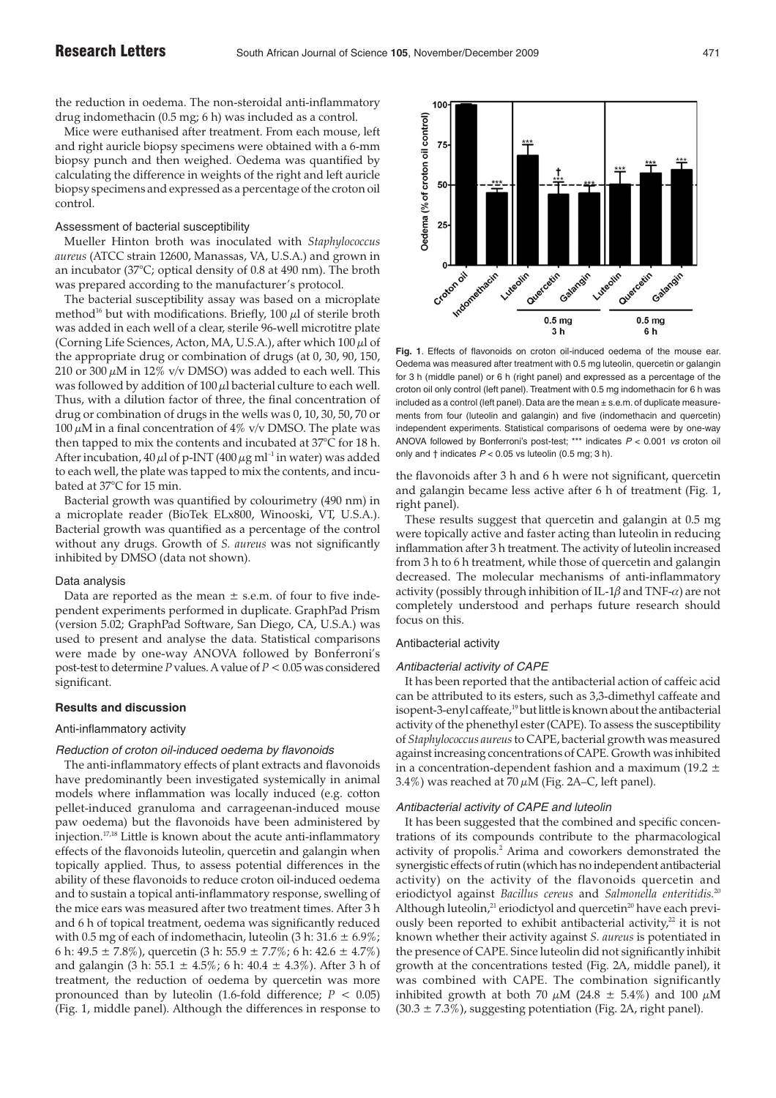the reduction in oedema. The non-steroidal anti-inflammatory drug indomethacin (0.5 mg; 6 h) was included as a control.

Mice were euthanised after treatment. From each mouse, left and right auricle biopsy specimens were obtained with a 6-mm biopsy punch and then weighed. Oedema was quantified by calculating the difference in weights of the right and left auricle biopsy specimens and expressed as a percentage of the croton oil control.

#### Assessment of bacterial susceptibility

Mueller Hinton broth was inoculated with *Staphylococcus aureus* (ATCC strain 12600, Manassas, VA, U.S.A.) and grown in an incubator (37°C; optical density of 0.8 at 490 nm). The broth was prepared according to the manufacturer's protocol.

The bacterial susceptibility assay was based on a microplate method<sup>16</sup> but with modifications. Briefly, 100  $\mu$ l of sterile broth was added in each well of a clear, sterile 96-well microtitre plate (Corning Life Sciences, Acton, MA, U.S.A.), after which 100 µl of the appropriate drug or combination of drugs (at 0, 30, 90, 150, 210 or 300  $\mu$ M in 12% v/v DMSO) was added to each well. This was followed by addition of  $100 \mu$ l bacterial culture to each well. Thus, with a dilution factor of three, the final concentration of drug or combination of drugs in the wells was 0, 10, 30, 50, 70 or 100  $\mu$ M in a final concentration of 4% v/v DMSO. The plate was then tapped to mix the contents and incubated at 37°C for 18 h. After incubation,  $40 \mu l$  of p-INT ( $400 \mu g$  ml<sup>-1</sup> in water) was added to each well, the plate was tapped to mix the contents, and incubated at 37°C for 15 min.

Bacterial growth was quantified by colourimetry (490 nm) in a microplate reader (BioTek ELx800, Winooski, VT, U.S.A.). Bacterial growth was quantified as a percentage of the control without any drugs. Growth of *S. aureus* was not significantly inhibited by DMSO (data not shown).

#### Data analysis

Data are reported as the mean  $\pm$  s.e.m. of four to five independent experiments performed in duplicate. GraphPad Prism (version 5.02; GraphPad Software, San Diego, CA, U.S.A.) was used to present and analyse the data. Statistical comparisons were made by one-way ANOVA followed by Bonferroni's post-test to determine *P* values. A value of *P* < 0.05 was considered significant.

## **Results and discussion**

### Anti-inflammatory activity

# Reduction of croton oil-induced oedema by flavonoids

The anti-inflammatory effects of plant extracts and flavonoids have predominantly been investigated systemically in animal models where inflammation was locally induced (e.g. cotton pellet-induced granuloma and carrageenan-induced mouse paw oedema) but the flavonoids have been administered by injection.17,18 Little is known about the acute anti-inflammatory effects of the flavonoids luteolin, quercetin and galangin when topically applied. Thus, to assess potential differences in the ability of these flavonoids to reduce croton oil-induced oedema and to sustain a topical anti-inflammatory response, swelling of the mice ears was measured after two treatment times. After 3 h and 6 h of topical treatment, oedema was significantly reduced with 0.5 mg of each of indomethacin, luteolin  $(3 h: 31.6 \pm 6.9\%)$ ; 6 h:  $49.5 \pm 7.8\%$ ), quercetin  $(3 \text{ h}: 55.9 \pm 7.7\%$ ; 6 h:  $42.6 \pm 4.7\%$ ) and galangin (3 h:  $55.1 \pm 4.5\%$ ; 6 h:  $40.4 \pm 4.3\%$ ). After 3 h of treatment, the reduction of oedema by quercetin was more pronounced than by luteolin (1.6-fold difference;  $P < 0.05$ ) (Fig. 1, middle panel). Although the differences in response to



**Fig. 1**. Effects of flavonoids on croton oil-induced oedema of the mouse ear. Oedema was measured after treatment with 0.5 mg luteolin, quercetin or galangin for 3 h (middle panel) or 6 h (right panel) and expressed as a percentage of the croton oil only control (left panel). Treatment with 0.5 mg indomethacin for 6 h was included as a control (left panel). Data are the mean ± s.e.m. of duplicate measurements from four (luteolin and galangin) and five (indomethacin and quercetin) independent experiments. Statistical comparisons of oedema were by one-way ANOVA followed by Bonferroni's post-test; \*\*\* indicates  $P < 0.001$  vs croton oil only and  $\dagger$  indicates  $P < 0.05$  vs luteolin (0.5 mg; 3 h).

the flavonoids after 3 h and 6 h were not significant, quercetin and galangin became less active after 6 h of treatment (Fig. 1, right panel).

These results suggest that quercetin and galangin at 0.5 mg were topically active and faster acting than luteolin in reducing inflammation after 3 h treatment. The activity of luteolin increased from 3 h to 6 h treatment, while those of quercetin and galangin decreased. The molecular mechanisms of anti-inflammatory activity (possibly through inhibition of IL-1 $\beta$  and TNF- $\alpha$ ) are not completely understood and perhaps future research should focus on this.

## Antibacterial activity

# Antibacterial activity of CAPE

It has been reported that the antibacterial action of caffeic acid can be attributed to its esters, such as 3,3-dimethyl caffeate and isopent-3-enyl caffeate,<sup>19</sup> but little is known about the antibacterial activity of the phenethyl ester (CAPE). To assess the susceptibility of *Staphylococcus aureus*to CAPE, bacterial growth was measured against increasing concentrations of CAPE. Growth was inhibited in a concentration-dependent fashion and a maximum (19.2  $\pm$ 3.4%) was reached at 70  $\mu$ M (Fig. 2A–C, left panel).

#### Antibacterial activity of CAPE and luteolin

It has been suggested that the combined and specific concentrations of its compounds contribute to the pharmacological activity of propolis.2 Arima and coworkers demonstrated the synergistic effects of rutin (which has no independent antibacterial activity) on the activity of the flavonoids quercetin and eriodictyol against *Bacillus cereus* and *Salmonella enteritidis.*<sup>20</sup> Although luteolin, $21$  eriodictyol and quercetin<sup>20</sup> have each previously been reported to exhibit antibacterial activity, $22$  it is not known whether their activity against *S. aureus* is potentiated in the presence of CAPE. Since luteolin did not significantly inhibit growth at the concentrations tested (Fig. 2A, middle panel), it was combined with CAPE. The combination significantly inhibited growth at both 70  $\mu$ M (24.8  $\pm$  5.4%) and 100  $\mu$ M  $(30.3 \pm 7.3\%)$ , suggesting potentiation (Fig. 2A, right panel).